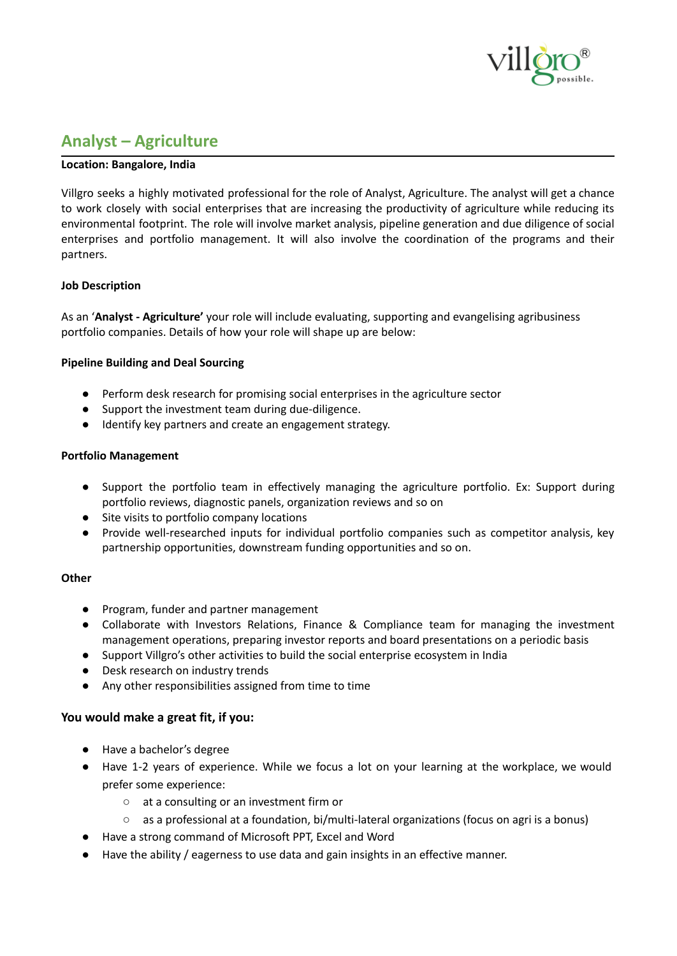

# **Analyst – Agriculture**

## **Location: Bangalore, India**

Villgro seeks a highly motivated professional for the role of Analyst, Agriculture. The analyst will get a chance to work closely with social enterprises that are increasing the productivity of agriculture while reducing its environmental footprint. The role will involve market analysis, pipeline generation and due diligence of social enterprises and portfolio management. It will also involve the coordination of the programs and their partners.

## **Job Description**

As an '**Analyst - Agriculture'** your role will include evaluating, supporting and evangelising agribusiness portfolio companies. Details of how your role will shape up are below:

## **Pipeline Building and Deal Sourcing**

- Perform desk research for promising social enterprises in the agriculture sector
- Support the investment team during due-diligence.
- Identify key partners and create an engagement strategy.

#### **Portfolio Management**

- Support the portfolio team in effectively managing the agriculture portfolio. Ex: Support during portfolio reviews, diagnostic panels, organization reviews and so on
- Site visits to portfolio company locations
- Provide well-researched inputs for individual portfolio companies such as competitor analysis, key partnership opportunities, downstream funding opportunities and so on.

## **Other**

- Program, funder and partner management
- Collaborate with Investors Relations, Finance & Compliance team for managing the investment management operations, preparing investor reports and board presentations on a periodic basis
- Support Villgro's other activities to build the social enterprise ecosystem in India
- Desk research on industry trends
- Any other responsibilities assigned from time to time

## **You would make a great fit, if you:**

- Have a bachelor's degree
- Have 1-2 years of experience. While we focus a lot on your learning at the workplace, we would prefer some experience:
	- at a consulting or an investment firm or
	- as a professional at a foundation, bi/multi-lateral organizations (focus on agri is a bonus)
- Have a strong command of Microsoft PPT, Excel and Word
- Have the ability / eagerness to use data and gain insights in an effective manner.